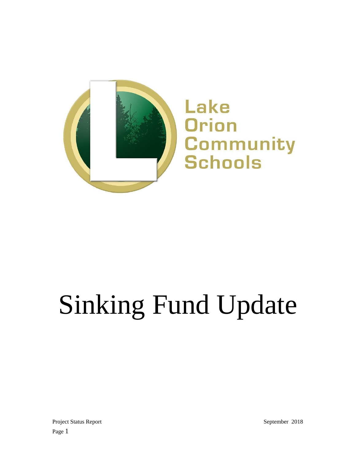

# Sinking Fund Update

Project Status Report September 2018 Page 1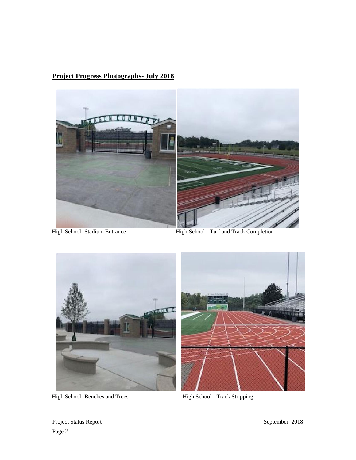## **Project Progress Photographs- July 2018**



High School- Stadium Entrance High School- Turf and Track Completion



High School -Benches and Trees High School - Track Stripping



Project Status Report September 2018 Page 2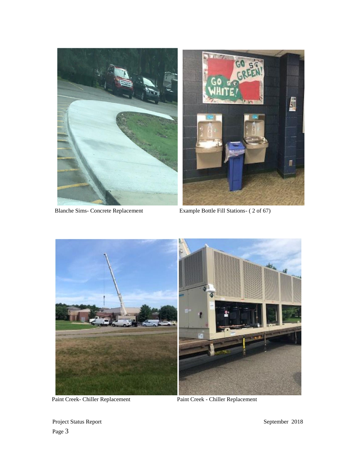

Blanche Sims- Concrete Replacement Example Bottle Fill Stations- ( 2 of 67)



Paint Creek- Chiller Replacement Paint Creek - Chiller Replacement

Project Status Report Status Report September 2018 Page 3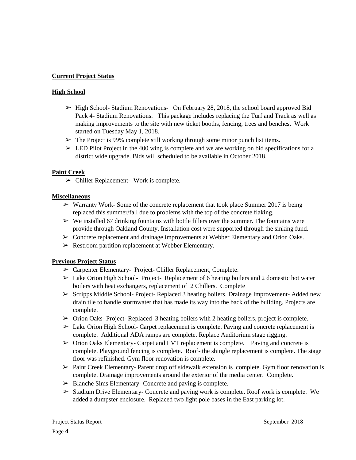#### **Current Project Status**

#### **High School**

- $\geq$  High School-Stadium Renovations- On February 28, 2018, the school board approved Bid Pack 4- Stadium Renovations. This package includes replacing the Turf and Track as well as making improvements to the site with new ticket booths, fencing, trees and benches. Work started on Tuesday May 1, 2018.
- $\triangleright$  The Project is 99% complete still working through some minor punch list items.
- $\geq$  LED Pilot Project in the 400 wing is complete and we are working on bid specifications for a district wide upgrade. Bids will scheduled to be available in October 2018.

#### **Paint Creek**

 $\triangleright$  Chiller Replacement- Work is complete.

#### **Miscellaneous**

- $\triangleright$  Warranty Work-Some of the concrete replacement that took place Summer 2017 is being replaced this summer/fall due to problems with the top of the concrete flaking.
- $\triangleright$  We installed 67 drinking fountains with bottle fillers over the summer. The fountains were provide through Oakland County. Installation cost were supported through the sinking fund.
- $\triangleright$  Concrete replacement and drainage improvements at Webber Elementary and Orion Oaks.
- ➢ Restroom partition replacement at Webber Elementary.

#### **Previous Project Status**

- ➢ Carpenter Elementary- Project- Chiller Replacement, Complete.
- $\triangleright$  Lake Orion High School- Project- Replacement of 6 heating boilers and 2 domestic hot water boilers with heat exchangers, replacement of 2 Chillers. Complete
- ➢ Scripps Middle School- Project- Replaced 3 heating boilers. Drainage Improvement- Added new drain tile to handle stormwater that has made its way into the back of the building. Projects are complete.
- ➢ Orion Oaks- Project- Replaced 3 heating boilers with 2 heating boilers, project is complete.
- $\triangleright$  Lake Orion High School- Carpet replacement is complete. Paving and concrete replacement is complete. Additional ADA ramps are complete. Replace Auditorium stage rigging.
- ➢ Orion Oaks Elementary- Carpet and LVT replacement is complete. Paving and concrete is complete. Playground fencing is complete. Roof- the shingle replacement is complete. The stage floor was refinished. Gym floor renovation is complete.
- ➢ Paint Creek Elementary- Parent drop off sidewalk extension is complete. Gym floor renovation is complete. Drainage improvements around the exterior of the media center. Complete.
- ➢ Blanche Sims Elementary- Concrete and paving is complete.
- $\triangleright$  Stadium Drive Elementary- Concrete and paving work is complete. Roof work is complete. We added a dumpster enclosure. Replaced two light pole bases in the East parking lot.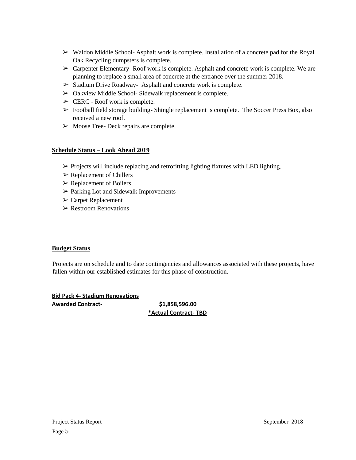- $\triangleright$  Waldon Middle School-Asphalt work is complete. Installation of a concrete pad for the Royal Oak Recycling dumpsters is complete.
- $\triangleright$  Carpenter Elementary-Roof work is complete. Asphalt and concrete work is complete. We are planning to replace a small area of concrete at the entrance over the summer 2018.
- ➢ Stadium Drive Roadway- Asphalt and concrete work is complete.
- ➢ Oakview Middle School- Sidewalk replacement is complete.
- $\triangleright$  CERC Roof work is complete.
- $\triangleright$  Football field storage building-Shingle replacement is complete. The Soccer Press Box, also received a new roof.
- $\triangleright$  Moose Tree-Deck repairs are complete.

### **Schedule Status – Look Ahead 2019**

- $\triangleright$  Projects will include replacing and retrofitting lighting fixtures with LED lighting.
- $\triangleright$  Replacement of Chillers
- ➢ Replacement of Boilers
- ➢ Parking Lot and Sidewalk Improvements
- ➢ Carpet Replacement
- $\triangleright$  Restroom Renovations

#### **Budget Status**

Projects are on schedule and to date contingencies and allowances associated with these projects, have fallen within our established estimates for this phase of construction.

**Bid Pack 4- Stadium Renovations Awarded Contract- \$1,858,596.00**

**\*Actual Contract- TBD**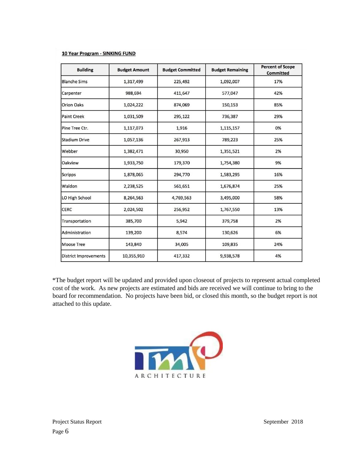#### 10 Year Program - SINKING FUND

| <b>Building</b>              | <b>Budget Amount</b> | <b>Budget Committed</b> | <b>Budget Remaining</b> | <b>Percent of Scope</b><br><b>Committed</b> |
|------------------------------|----------------------|-------------------------|-------------------------|---------------------------------------------|
| <b>Blanche Sims</b>          | 1,317,499            | 225,492                 | 1,092,007               | 17%                                         |
| Carpenter                    | 988,694              | 411,647                 | 577,047                 | 42%                                         |
| <b>Orion Oaks</b>            | 1,024,222            | 874,069                 | 150,153                 | 85%                                         |
| <b>Paint Creek</b>           | 1,031,509            | 295,122                 | 736,387                 | 29%                                         |
| Pine Tree Ctr.               | 1,117,073            | 1,916                   | 1,115,157               | 0%                                          |
| <b>Stadium Drive</b>         | 1,057,136            | 267,913                 | 789,223                 | 25%                                         |
| Webber                       | 1,382,471            | 30,950                  | 1,351,521               | 2%                                          |
| <b>Oakview</b>               | 1,933,750            | 179,370                 | 1,754,380               | 9%                                          |
| Scripps                      | 1,878,065            | 294,770                 | 1,583,295               | 16%                                         |
| Waldon                       | 2,238,525            | 561,651                 | 1,676,874               | 25%                                         |
| LO High School               | 8,264,563            | 4,769,563               | 3,495,000               | 58%                                         |
| <b>CERC</b>                  | 2,024,502            | 256,952                 | 1,767,550               | 13%                                         |
| Transportation               | 385,700              | 5,942                   | 379,758                 | 2%                                          |
| Administration               | 139,200              | 8,574                   | 130,626                 | 6%                                          |
| <b>Moose Tree</b>            | 143,840              | 34,005                  | 109,835                 | 24%                                         |
| <b>District Improvements</b> | 10,355,910           | 417,332                 | 9,938,578               | 4%                                          |

\*The budget report will be updated and provided upon closeout of projects to represent actual completed cost of the work. As new projects are estimated and bids are received we will continue to bring to the board for recommendation. No projects have been bid, or closed this month, so the budget report is not attached to this update.